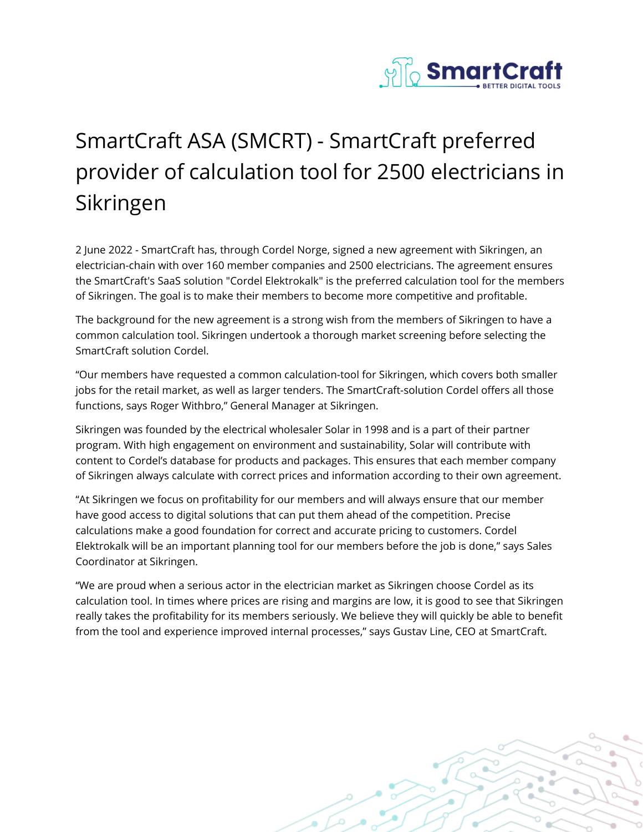

## SmartCraft ASA (SMCRT) - SmartCraft preferred provider of calculation tool for 2500 electricians in Sikringen

2 June 2022 - SmartCraft has, through Cordel Norge, signed a new agreement with Sikringen, an electrician-chain with over 160 member companies and 2500 electricians. The agreement ensures the SmartCraft's SaaS solution "Cordel Elektrokalk" is the preferred calculation tool for the members of Sikringen. The goal is to make their members to become more competitive and profitable.

The background for the new agreement is a strong wish from the members of Sikringen to have a common calculation tool. Sikringen undertook a thorough market screening before selecting the SmartCraft solution Cordel.

"Our members have requested a common calculation-tool for Sikringen, which covers both smaller jobs for the retail market, as well as larger tenders. The SmartCraft-solution Cordel offers all those functions, says Roger Withbro," General Manager at Sikringen.

Sikringen was founded by the electrical wholesaler Solar in 1998 and is a part of their partner program. With high engagement on environment and sustainability, Solar will contribute with content to Cordel's database for products and packages. This ensures that each member company of Sikringen always calculate with correct prices and information according to their own agreement.

"At Sikringen we focus on profitability for our members and will always ensure that our member have good access to digital solutions that can put them ahead of the competition. Precise calculations make a good foundation for correct and accurate pricing to customers. Cordel Elektrokalk will be an important planning tool for our members before the job is done," says Sales Coordinator at Sikringen.

"We are proud when a serious actor in the electrician market as Sikringen choose Cordel as its calculation tool. In times where prices are rising and margins are low, it is good to see that Sikringen really takes the profitability for its members seriously. We believe they will quickly be able to benefit from the tool and experience improved internal processes," says Gustav Line, CEO at SmartCraft.